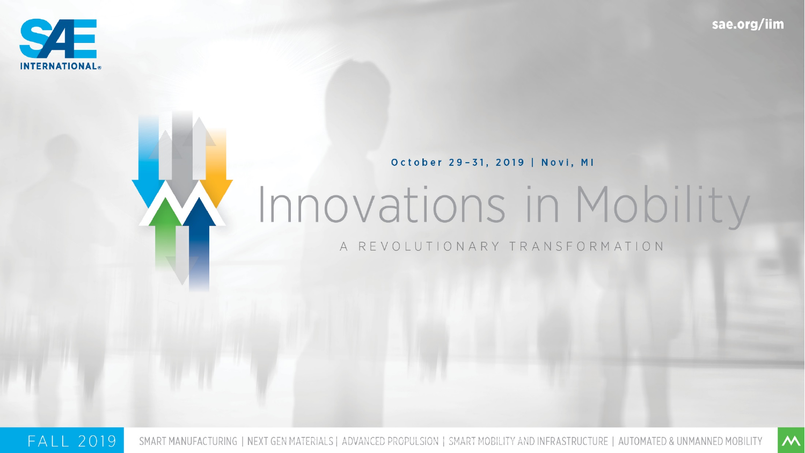

 $\overline{\mathsf{M}}$ 

October 29-31, 2019 | Novi, MI

# Innovations in Mobility

A REVOLUTIONARY TRANSFORMATION

**FALL 2019** SMART MANUFACTURING | NEXT GEN MATERIALS | ADVANCED PROPULSION | SMART MOBILITY AND INFRASTRUCTURE | AUTOMATED & UNMANNED MOBILITY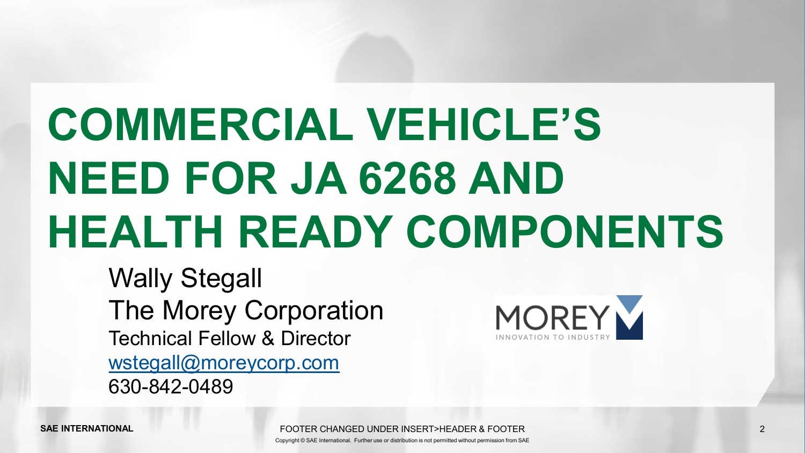# **COMMERCIAL VEHICLE'S NEED FOR JA 6268 AND HEALTH READY COMPONENTS**

Wally Stegall The Morey Corporation Technical Fellow & Director [wstegall@moreycorp.com](mailto:wstegall@moreycorp.com) 630-842-0489



FOOTER CHANGED UNDER INSERT>HEADER & FOOTER 2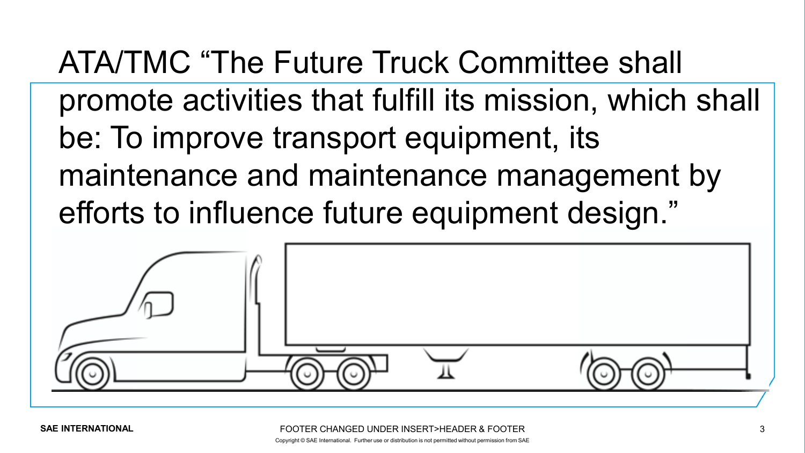ATA/TMC "The Future Truck Committee shall promote activities that fulfill its mission, which shall be: To improve transport equipment, its maintenance and maintenance management by efforts to influence future equipment design."

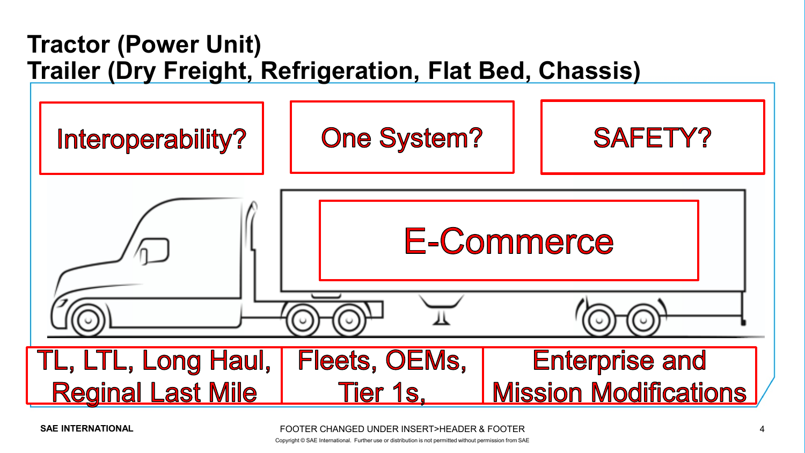## **Tractor (Power Unit) Trailer (Dry Freight, Refrigeration, Flat Bed, Chassis)**



FOOTER CHANGED UNDER INSERT>HEADER & FOOTER 4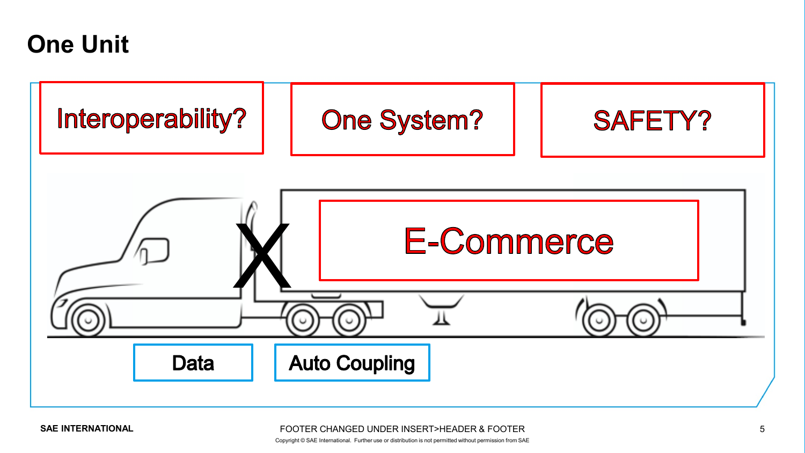## **One Unit**

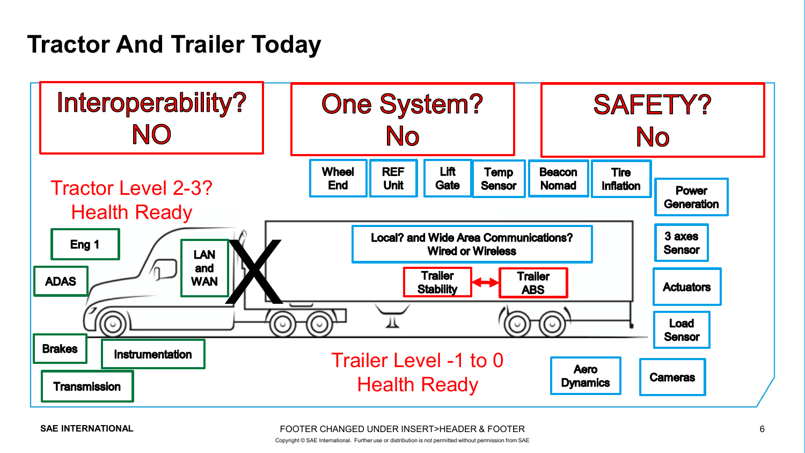## **Tractor And Trailer Today**

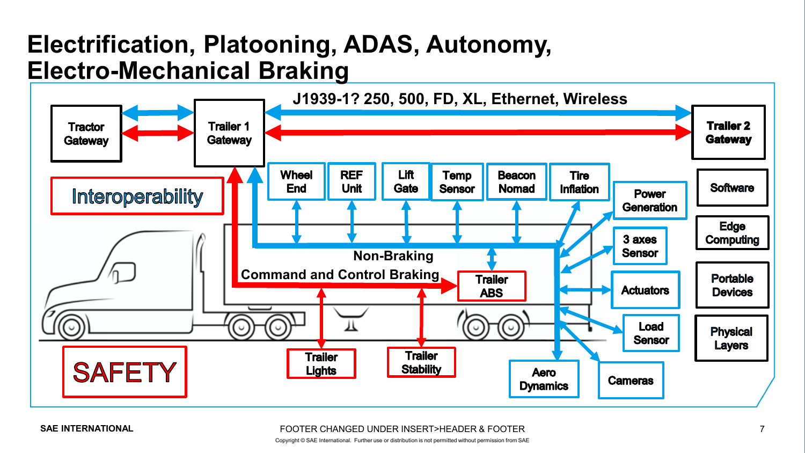## **Electrification, Platooning, ADAS, Autonomy, Electro-Mechanical Braking**



#### FOOTER CHANGED UNDER INSERT>HEADER & FOOTER 7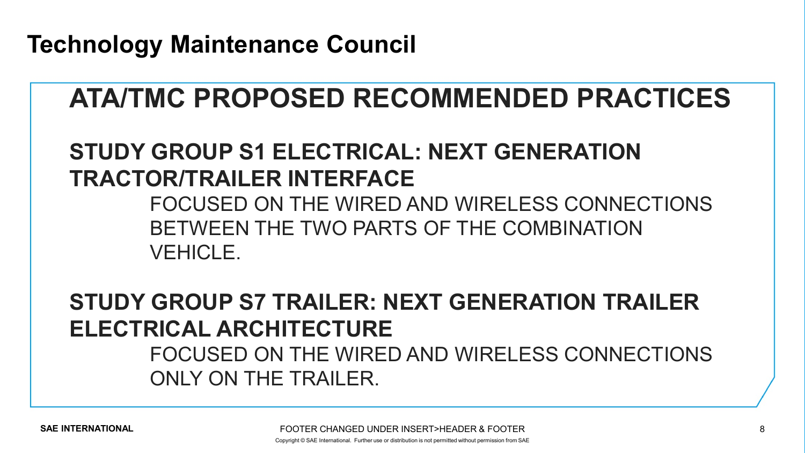**Technology Maintenance Council**

## **ATA/TMC PROPOSED RECOMMENDED PRACTICES**

## **STUDY GROUP S1 ELECTRICAL: NEXT GENERATION TRACTOR/TRAILER INTERFACE**

FOCUSED ON THE WIRED AND WIRELESS CONNECTIONS BETWEEN THE TWO PARTS OF THE COMBINATION VEHICLE.

**STUDY GROUP S7 TRAILER: NEXT GENERATION TRAILER ELECTRICAL ARCHITECTURE** 

### FOCUSED ON THE WIRED AND WIRELESS CONNECTIONS ONLY ON THE TRAILER.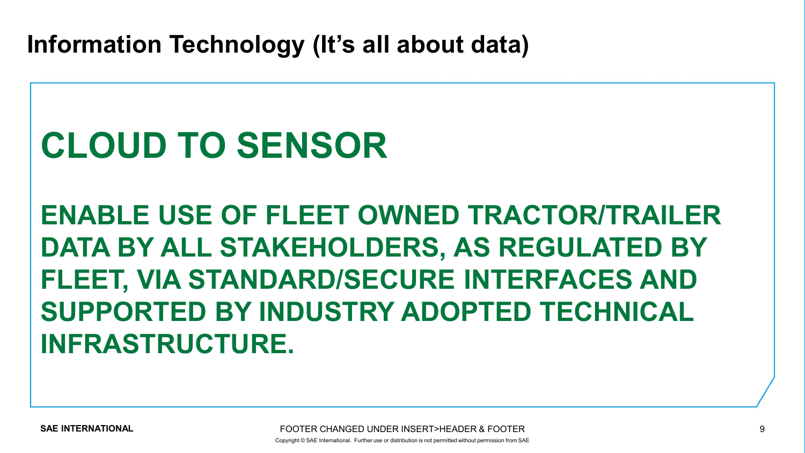**Information Technology (It's all about data)**

## **CLOUD TO SENSOR**

**ENABLE USE OF FLEET OWNED TRACTOR/TRAILER DATA BY ALL STAKEHOLDERS, AS REGULATED BY FLEET, VIA STANDARD/SECURE INTERFACES AND SUPPORTED BY INDUSTRY ADOPTED TECHNICAL INFRASTRUCTURE.**